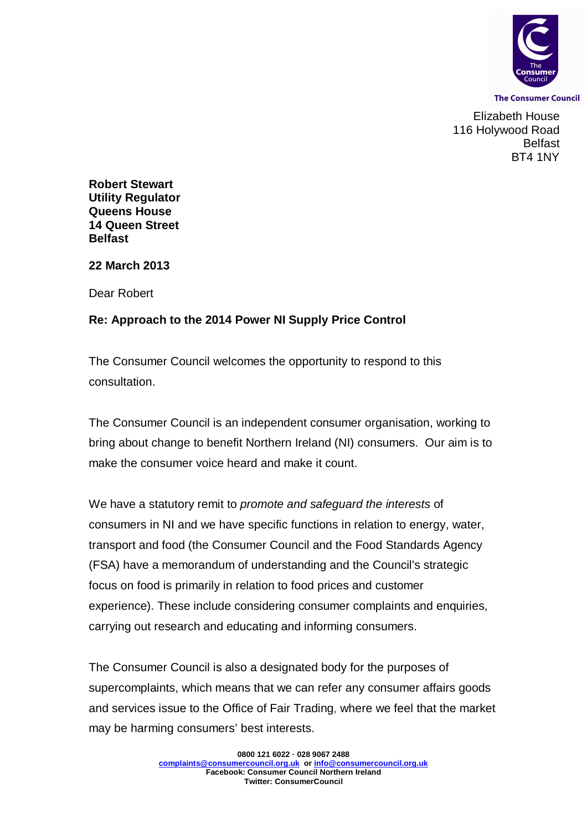

**The Consumer Council** 

Elizabeth House 116 Holywood Road Belfast BT4 1NY

**Robert Stewart Utility Regulator Queens House 14 Queen Street Belfast**

**22 March 2013**

Dear Robert

## **Re: Approach to the 2014 Power NI Supply Price Control**

The Consumer Council welcomes the opportunity to respond to this consultation.

The Consumer Council is an independent consumer organisation, working to bring about change to benefit Northern Ireland (NI) consumers. Our aim is to make the consumer voice heard and make it count.

We have a statutory remit to *promote and safeguard the interests* of consumers in NI and we have specific functions in relation to energy, water, transport and food (the Consumer Council and the Food Standards Agency (FSA) have a memorandum of understanding and the Council's strategic focus on food is primarily in relation to food prices and customer experience). These include considering consumer complaints and enquiries, carrying out research and educating and informing consumers.

The Consumer Council is also a designated body for the purposes of supercomplaints, which means that we can refer any consumer affairs goods and services issue to the Office of Fair Trading, where we feel that the market may be harming consumers' best interests.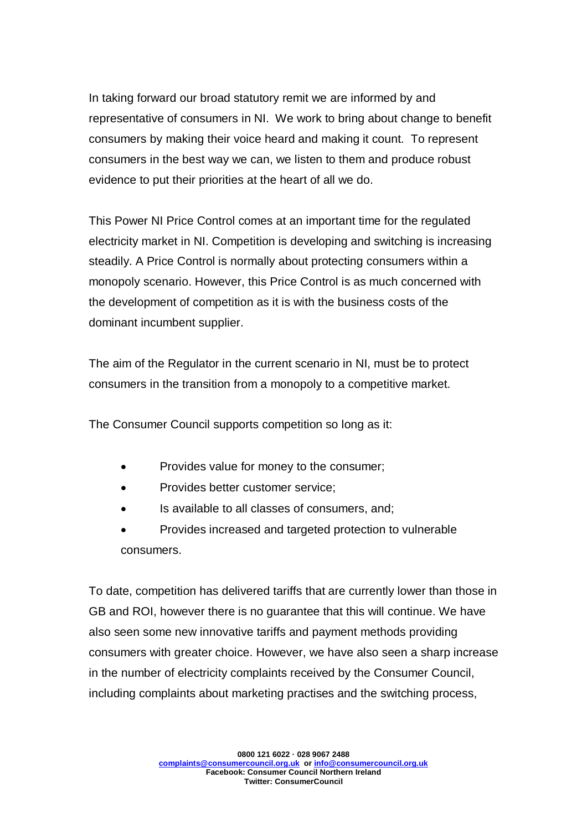In taking forward our broad statutory remit we are informed by and representative of consumers in NI. We work to bring about change to benefit consumers by making their voice heard and making it count. To represent consumers in the best way we can, we listen to them and produce robust evidence to put their priorities at the heart of all we do.

This Power NI Price Control comes at an important time for the regulated electricity market in NI. Competition is developing and switching is increasing steadily. A Price Control is normally about protecting consumers within a monopoly scenario. However, this Price Control is as much concerned with the development of competition as it is with the business costs of the dominant incumbent supplier.

The aim of the Regulator in the current scenario in NI, must be to protect consumers in the transition from a monopoly to a competitive market.

The Consumer Council supports competition so long as it:

- Provides value for money to the consumer;
- Provides better customer service;
- Is available to all classes of consumers, and;
- Provides increased and targeted protection to vulnerable consumers.

To date, competition has delivered tariffs that are currently lower than those in GB and ROI, however there is no guarantee that this will continue. We have also seen some new innovative tariffs and payment methods providing consumers with greater choice. However, we have also seen a sharp increase in the number of electricity complaints received by the Consumer Council, including complaints about marketing practises and the switching process,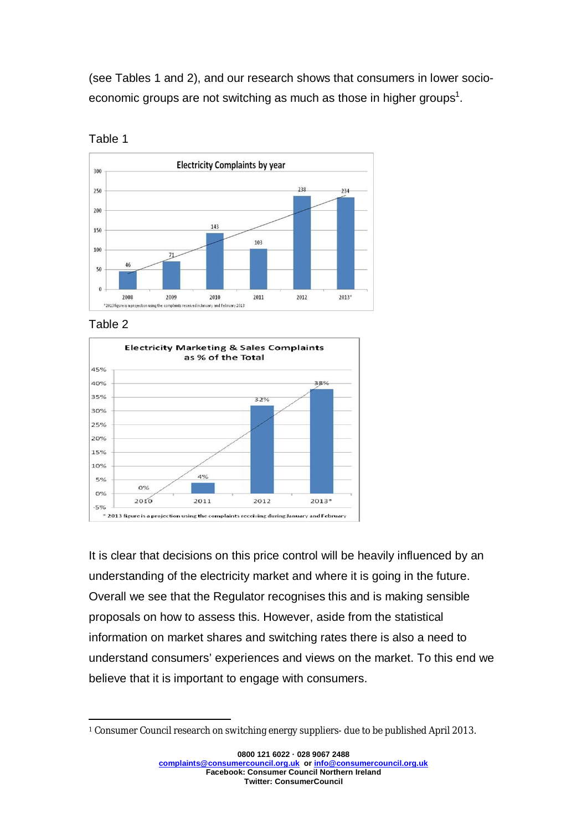(see Tables 1 and 2), and our research shows that consumers in lower socioeconomic groups are not switching as much as those in higher groups<sup>1</sup>.



Table 1

## Table 2



It is clear that decisions on this price control will be heavily influenced by an understanding of the electricity market and where it is going in the future. Overall we see that the Regulator recognises this and is making sensible proposals on how to assess this. However, aside from the statistical information on market shares and switching rates there is also a need to understand consumers' experiences and views on the market. To this end we believe that it is important to engage with consumers.

 $\overline{\phantom{a}}$ <sup>1</sup> Consumer Council research on switching energy suppliers- due to be published April 2013.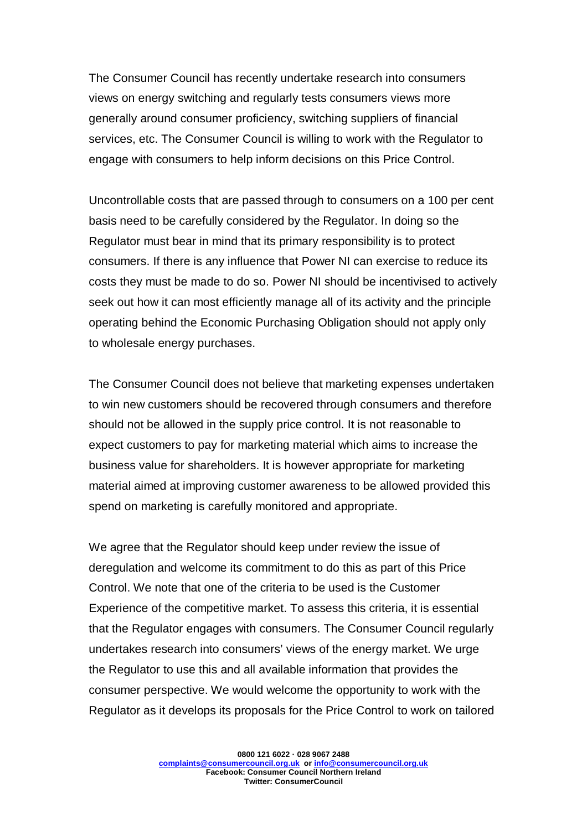The Consumer Council has recently undertake research into consumers views on energy switching and regularly tests consumers views more generally around consumer proficiency, switching suppliers of financial services, etc. The Consumer Council is willing to work with the Regulator to engage with consumers to help inform decisions on this Price Control.

Uncontrollable costs that are passed through to consumers on a 100 per cent basis need to be carefully considered by the Regulator. In doing so the Regulator must bear in mind that its primary responsibility is to protect consumers. If there is any influence that Power NI can exercise to reduce its costs they must be made to do so. Power NI should be incentivised to actively seek out how it can most efficiently manage all of its activity and the principle operating behind the Economic Purchasing Obligation should not apply only to wholesale energy purchases.

The Consumer Council does not believe that marketing expenses undertaken to win new customers should be recovered through consumers and therefore should not be allowed in the supply price control. It is not reasonable to expect customers to pay for marketing material which aims to increase the business value for shareholders. It is however appropriate for marketing material aimed at improving customer awareness to be allowed provided this spend on marketing is carefully monitored and appropriate.

We agree that the Regulator should keep under review the issue of deregulation and welcome its commitment to do this as part of this Price Control. We note that one of the criteria to be used is the Customer Experience of the competitive market. To assess this criteria, it is essential that the Regulator engages with consumers. The Consumer Council regularly undertakes research into consumers' views of the energy market. We urge the Regulator to use this and all available information that provides the consumer perspective. We would welcome the opportunity to work with the Regulator as it develops its proposals for the Price Control to work on tailored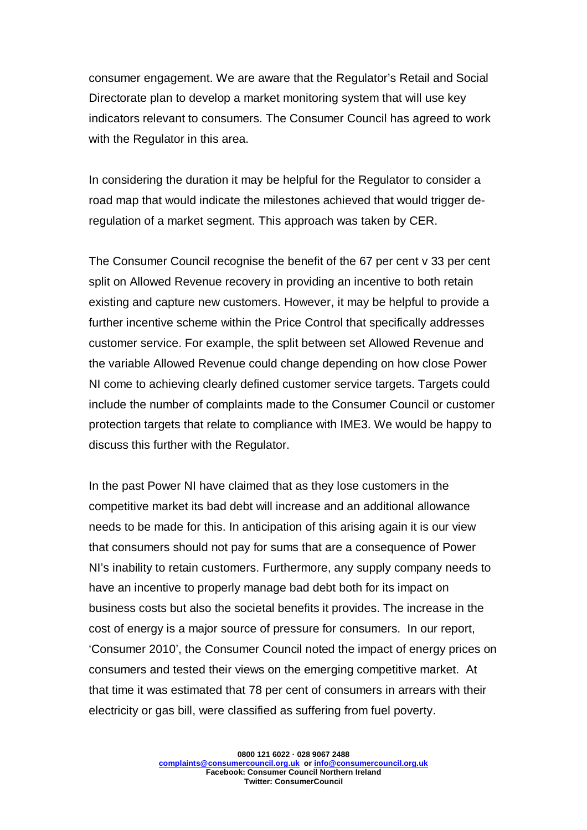consumer engagement. We are aware that the Regulator's Retail and Social Directorate plan to develop a market monitoring system that will use key indicators relevant to consumers. The Consumer Council has agreed to work with the Regulator in this area.

In considering the duration it may be helpful for the Regulator to consider a road map that would indicate the milestones achieved that would trigger deregulation of a market segment. This approach was taken by CER.

The Consumer Council recognise the benefit of the 67 per cent v 33 per cent split on Allowed Revenue recovery in providing an incentive to both retain existing and capture new customers. However, it may be helpful to provide a further incentive scheme within the Price Control that specifically addresses customer service. For example, the split between set Allowed Revenue and the variable Allowed Revenue could change depending on how close Power NI come to achieving clearly defined customer service targets. Targets could include the number of complaints made to the Consumer Council or customer protection targets that relate to compliance with IME3. We would be happy to discuss this further with the Regulator.

In the past Power NI have claimed that as they lose customers in the competitive market its bad debt will increase and an additional allowance needs to be made for this. In anticipation of this arising again it is our view that consumers should not pay for sums that are a consequence of Power NI's inability to retain customers. Furthermore, any supply company needs to have an incentive to properly manage bad debt both for its impact on business costs but also the societal benefits it provides. The increase in the cost of energy is a major source of pressure for consumers. In our report, 'Consumer 2010', the Consumer Council noted the impact of energy prices on consumers and tested their views on the emerging competitive market. At that time it was estimated that 78 per cent of consumers in arrears with their electricity or gas bill, were classified as suffering from fuel poverty.